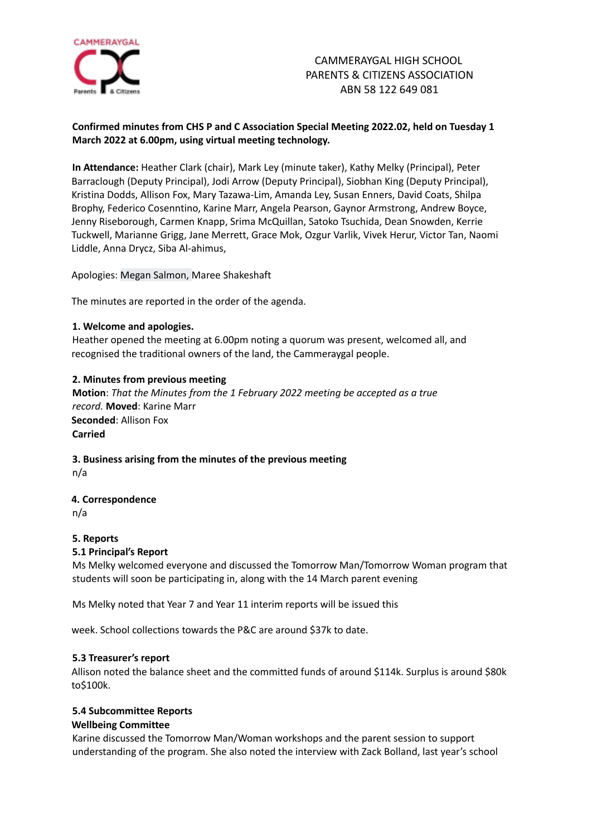

# **Confirmed minutes from CHS P and C Association Special Meeting 2022.02, held on Tuesday 1 March 2022 at 6.00pm, using virtual meeting technology.**

**In Attendance:** Heather Clark (chair), Mark Ley (minute taker), Kathy Melky (Principal), Peter Barraclough (Deputy Principal), Jodi Arrow (Deputy Principal), Siobhan King (Deputy Principal), Kristina Dodds, Allison Fox, Mary Tazawa-Lim, Amanda Ley, Susan Enners, David Coats, Shilpa Brophy, Federico Cosenntino, Karine Marr, Angela Pearson, Gaynor Armstrong, Andrew Boyce, Jenny Riseborough, Carmen Knapp, Srima McQuillan, Satoko Tsuchida, Dean Snowden, Kerrie Tuckwell, Marianne Grigg, Jane Merrett, Grace Mok, Ozgur Varlik, Vivek Herur, Victor Tan, Naomi Liddle, Anna Drycz, Siba Al-ahimus,

Apologies: Megan Salmon, Maree Shakeshaft

The minutes are reported in the order of the agenda.

## **1. Welcome and apologies.**

Heather opened the meeting at 6.00pm noting a quorum was present, welcomed all, and recognised the traditional owners of the land, the Cammeraygal people.

# **2. Minutes from previous meeting**

**Motion**: *That the Minutes from the 1 February 2022 meeting be accepted as a true record.* **Moved**: Karine Marr **Seconded**: Allison Fox **Carried**

## **3. Business arising from the minutes of the previous meeting** n/a

## **4. Correspondence**

# **5. Reports**

## **5.1 Principal's Report**

Ms Melky welcomed everyone and discussed the Tomorrow Man/Tomorrow Woman program that students will soon be participating in, along with the 14 March parent evening

Ms Melky noted that Year 7 and Year 11 interim reports will be issued this

week. School collections towards the P&C are around \$37k to date.

## **5.3 Treasurer's report**

Allison noted the balance sheet and the committed funds of around \$114k. Surplus is around \$80k to\$100k.

## **5.4 Subcommittee Reports Wellbeing Committee**

Karine discussed the Tomorrow Man/Woman workshops and the parent session to support understanding of the program. She also noted the interview with Zack Bolland, last year's school

n/a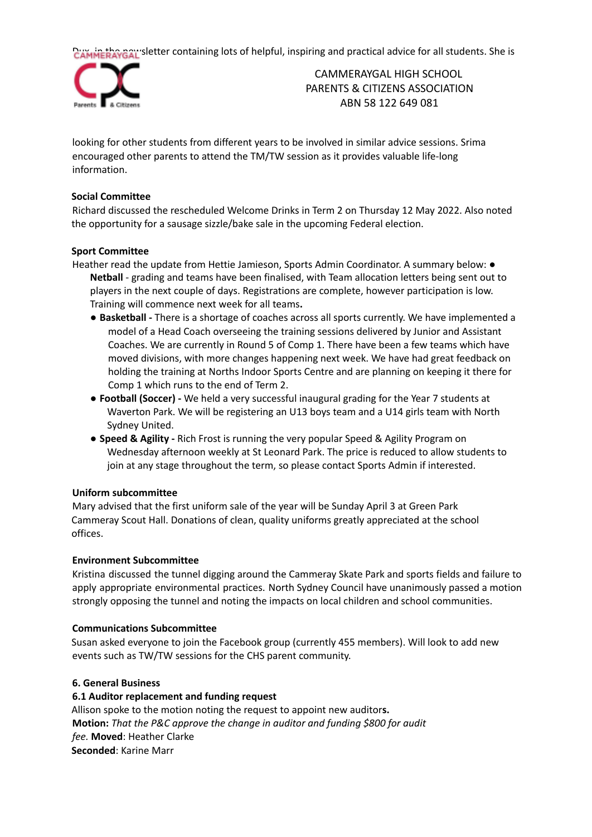Dux, in the gall'sletter containing lots of helpful, inspiring and practical advice for all students. She is



CAMMERAYGAL HIGH SCHOOL PARENTS & CITIZENS ASSOCIATION ABN 58 122 649 081

looking for other students from different years to be involved in similar advice sessions. Srima encouraged other parents to attend the TM/TW session as it provides valuable life-long information.

## **Social Committee**

Richard discussed the rescheduled Welcome Drinks in Term 2 on Thursday 12 May 2022. Also noted the opportunity for a sausage sizzle/bake sale in the upcoming Federal election.

## **Sport Committee**

- Heather read the update from Hettie Jamieson, Sports Admin Coordinator. A summary below: **● Netball** - grading and teams have been finalised, with Team allocation letters being sent out to players in the next couple of days. Registrations are complete, however participation is low. Training will commence next week for all teams**.**
	- **● Basketball -** There is a shortage of coaches across all sports currently. We have implemented a model of a Head Coach overseeing the training sessions delivered by Junior and Assistant Coaches. We are currently in Round 5 of Comp 1. There have been a few teams which have moved divisions, with more changes happening next week. We have had great feedback on holding the training at Norths Indoor Sports Centre and are planning on keeping it there for Comp 1 which runs to the end of Term 2.
	- **● Football (Soccer) -** We held a very successful inaugural grading for the Year 7 students at Waverton Park. We will be registering an U13 boys team and a U14 girls team with North Sydney United.
	- **● Speed & Agility -** Rich Frost is running the very popular Speed & Agility Program on Wednesday afternoon weekly at St Leonard Park. The price is reduced to allow students to join at any stage throughout the term, so please contact Sports Admin if interested.

## **Uniform subcommittee**

Mary advised that the first uniform sale of the year will be Sunday April 3 at Green Park Cammeray Scout Hall. Donations of clean, quality uniforms greatly appreciated at the school offices.

## **Environment Subcommittee**

Kristina discussed the tunnel digging around the Cammeray Skate Park and sports fields and failure to apply appropriate environmental practices. North Sydney Council have unanimously passed a motion strongly opposing the tunnel and noting the impacts on local children and school communities.

## **Communications Subcommittee**

Susan asked everyone to join the Facebook group (currently 455 members). Will look to add new events such as TW/TW sessions for the CHS parent community.

## **6. General Business**

## **6.1 Auditor replacement and funding request**

Allison spoke to the motion noting the request to appoint new auditor**s. Motion:** *That the P&C approve the change in auditor and funding \$800 for audit fee.* **Moved**: Heather Clarke **Seconded**: Karine Marr